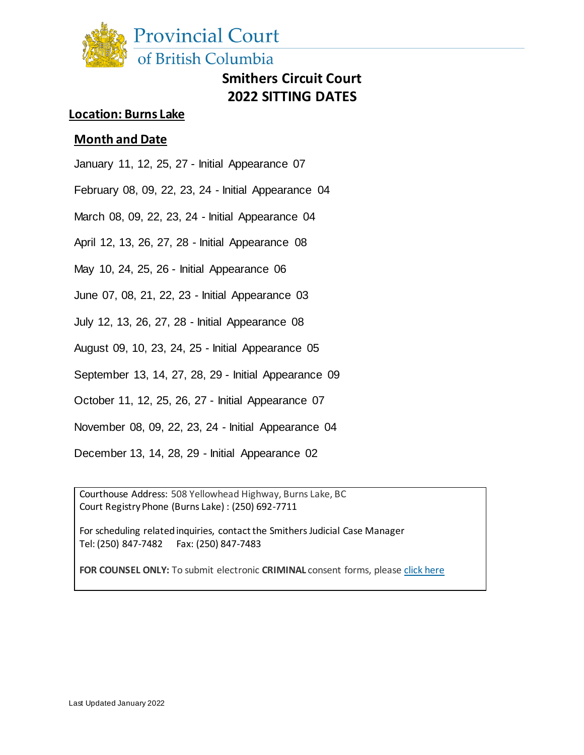

# **Smithers Circuit Court 2022 SITTING DATES**

### **Location: Burns Lake**

#### **Month and Date**

January 11, 12, 25, 27 - Initial Appearance 07

February 08, 09, 22, 23, 24 - Initial Appearance 04

March 08, 09, 22, 23, 24 - Initial Appearance 04

April 12, 13, 26, 27, 28 - Initial Appearance 08

May 10, 24, 25, 26 - Initial Appearance 06

June 07, 08, 21, 22, 23 - Initial Appearance 03

July 12, 13, 26, 27, 28 - Initial Appearance 08

August 09, 10, 23, 24, 25 - Initial Appearance 05

September 13, 14, 27, 28, 29 - Initial Appearance 09

October 11, 12, 25, 26, 27 - Initial Appearance 07

November 08, 09, 22, 23, 24 - Initial Appearance 04

December 13, 14, 28, 29 - Initial Appearance 02

Courthouse Address: 508 Yellowhead Highway, Burns Lake, BC Court Registry Phone (Burns Lake) : (250) 692-7711

For scheduling related inquiries, contact the Smithers Judicial Case Manager Tel: (250) 847-7482 Fax: (250) 847-7483

**FOR COUNSEL ONLY:** To submit electronic **CRIMINAL** consent forms, pleas[e click](http://www2.gov.bc.ca/gov/content/justice/courthouse-services/documents-forms-records/court-forms/criminal-court-forms) here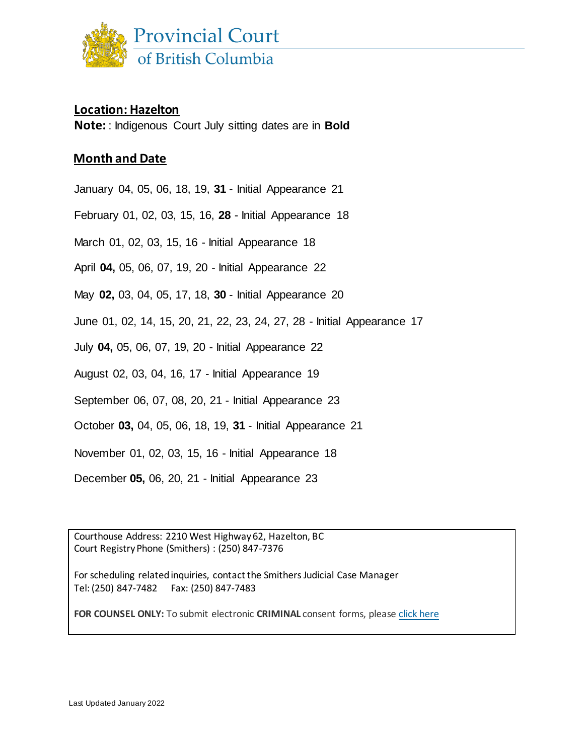

#### **Location: Hazelton**

**Note:** : Indigenous Court July sitting dates are in **Bold**

### **Month and Date**

January 04, 05, 06, 18, 19, **31** - Initial Appearance 21

February 01, 02, 03, 15, 16, **28** - Initial Appearance 18

March 01, 02, 03, 15, 16 - Initial Appearance 18

April **04,** 05, 06, 07, 19, 20 - Initial Appearance 22

May **02,** 03, 04, 05, 17, 18, **30** - Initial Appearance 20

June 01, 02, 14, 15, 20, 21, 22, 23, 24, 27, 28 - Initial Appearance 17

July **04,** 05, 06, 07, 19, 20 - Initial Appearance 22

August 02, 03, 04, 16, 17 - Initial Appearance 19

September 06, 07, 08, 20, 21 - Initial Appearance 23

October **03,** 04, 05, 06, 18, 19, **31** - Initial Appearance 21

November 01, 02, 03, 15, 16 - Initial Appearance 18

December **05,** 06, 20, 21 - Initial Appearance 23

Courthouse Address: 2210 West Highway 62, Hazelton, BC Court Registry Phone (Smithers) : (250) 847-7376

For scheduling related inquiries, contact the Smithers Judicial Case Manager Tel: (250) 847-7482 Fax: (250) 847-7483

**FOR COUNSEL ONLY:** To submit electronic **CRIMINAL** consent forms, please [click](http://www2.gov.bc.ca/gov/content/justice/courthouse-services/documents-forms-records/court-forms/criminal-court-forms) here